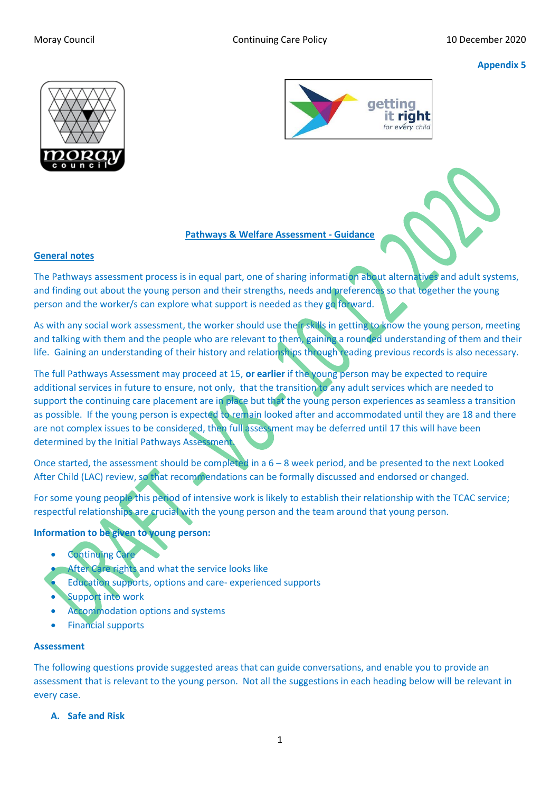## **Appendix 5**





### **Pathways & Welfare Assessment - Guidance**

### **General notes**

The Pathways assessment process is in equal part, one of sharing information about alternatives and adult systems, and finding out about the young person and their strengths, needs and preferences so that together the young person and the worker/s can explore what support is needed as they go forward.

As with any social work assessment, the worker should use their skills in getting to know the young person, meeting and talking with them and the people who are relevant to them, gaining a rounded understanding of them and their life. Gaining an understanding of their history and relationships through reading previous records is also necessary.

The full Pathways Assessment may proceed at 15, **or earlier** if the young person may be expected to require additional services in future to ensure, not only, that the transition to any adult services which are needed to support the continuing care placement are in place but that the young person experiences as seamless a transition as possible. If the young person is expected to remain looked after and accommodated until they are 18 and there are not complex issues to be considered, then full assessment may be deferred until 17 this will have been determined by the Initial Pathways Assessment.

Once started, the assessment should be completed in a 6 – 8 week period, and be presented to the next Looked After Child (LAC) review, so that recommendations can be formally discussed and endorsed or changed.

For some young people this period of intensive work is likely to establish their relationship with the TCAC service; respectful relationships are crucial with the young person and the team around that young person.

## **Information to be given to young person:**

- **Continuing Car**
- After Care rights and what the service looks like
- Education supports, options and care- experienced supports
- **Support into work**
- Accommodation options and systems
- Financial supports

#### **Assessment**

The following questions provide suggested areas that can guide conversations, and enable you to provide an assessment that is relevant to the young person. Not all the suggestions in each heading below will be relevant in every case.

**A. Safe and Risk**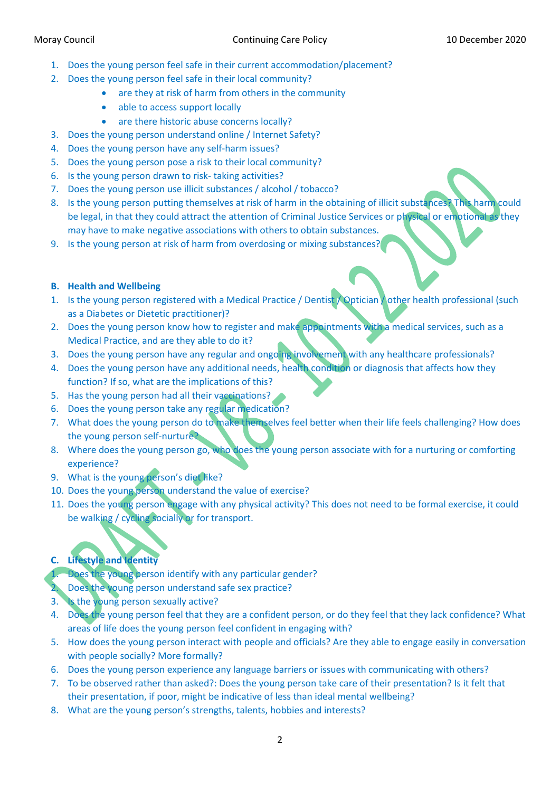- 1. Does the young person feel safe in their current accommodation/placement?
- 2. Does the young person feel safe in their local community?
	- are they at risk of harm from others in the community
	- able to access support locally
	- are there historic abuse concerns locally?
- 3. Does the young person understand online / Internet Safety?
- 4. Does the young person have any self-harm issues?
- 5. Does the young person pose a risk to their local community?
- 6. Is the young person drawn to risk- taking activities?
- 7. Does the young person use illicit substances / alcohol / tobacco?
- 8. Is the young person putting themselves at risk of harm in the obtaining of illicit substances? This harm could be legal, in that they could attract the attention of Criminal Justice Services or physical or emotional as they may have to make negative associations with others to obtain substances.
- 9. Is the young person at risk of harm from overdosing or mixing substances?

## **B. Health and Wellbeing**

- 1. Is the young person registered with a Medical Practice / Dentist / Optician / other health professional (such as a Diabetes or Dietetic practitioner)?
- 2. Does the young person know how to register and make appointments with a medical services, such as a Medical Practice, and are they able to do it?
- 3. Does the young person have any regular and ongoing involvement with any healthcare professionals?
- 4. Does the young person have any additional needs, health condition or diagnosis that affects how they function? If so, what are the implications of this?
- 5. Has the young person had all their vaccinations?
- 6. Does the young person take any regular medication?
- 7. What does the young person do to make themselves feel better when their life feels challenging? How does the young person self-nurture?
- 8. Where does the young person go, who does the young person associate with for a nurturing or comforting experience?
- 9. What is the young person's diet like?
- 10. Does the young person understand the value of exercise?
- 11. Does the young person engage with any physical activity? This does not need to be formal exercise, it could be walking / cycling socially or for transport.

# **C. Lifestyle and Identity**

Does the young person identify with any particular gender?

2. Does the young person understand safe sex practice?

- 3. Is the young person sexually active?
- 4. Does the young person feel that they are a confident person, or do they feel that they lack confidence? What areas of life does the young person feel confident in engaging with?
- 5. How does the young person interact with people and officials? Are they able to engage easily in conversation with people socially? More formally?
- 6. Does the young person experience any language barriers or issues with communicating with others?
- 7. To be observed rather than asked?: Does the young person take care of their presentation? Is it felt that their presentation, if poor, might be indicative of less than ideal mental wellbeing?
- 8. What are the young person's strengths, talents, hobbies and interests?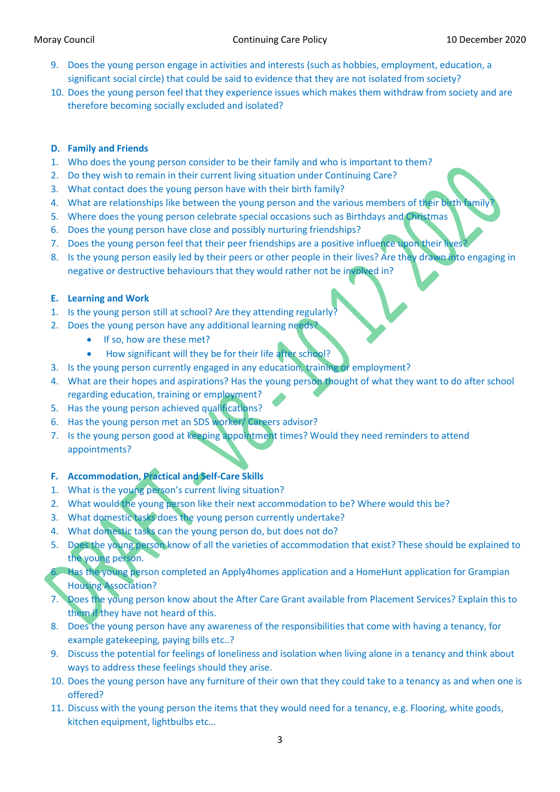- 9. Does the young person engage in activities and interests (such as hobbies, employment, education, a significant social circle) that could be said to evidence that they are not isolated from society?
- 10. Does the young person feel that they experience issues which makes them withdraw from society and are therefore becoming socially excluded and isolated?

## **D. Family and Friends**

- 1. Who does the young person consider to be their family and who is important to them?
- 2. Do they wish to remain in their current living situation under Continuing Care?
- 3. What contact does the young person have with their birth family?
- 4. What are relationships like between the young person and the various members of their birth family
- 5. Where does the young person celebrate special occasions such as Birthdays and Christmas
- 6. Does the young person have close and possibly nurturing friendships?
- 7. Does the young person feel that their peer friendships are a positive influence upon their lives
- 8. Is the young person easily led by their peers or other people in their lives? Are they drawn into engaging in negative or destructive behaviours that they would rather not be involved in?

## **E. Learning and Work**

- 1. Is the young person still at school? Are they attending regularly?
- 2. Does the young person have any additional learning needs?
	- If so, how are these met?
	- How significant will they be for their life after school?
- 3. Is the young person currently engaged in any education, training or employment?
- 4. What are their hopes and aspirations? Has the young person thought of what they want to do after school regarding education, training or employment?
- 5. Has the young person achieved qualifications?
- 6. Has the young person met an SDS worker/ Careers advisor?
- 7. Is the young person good at keeping appointment times? Would they need reminders to attend appointments?

## **F. Accommodation, Practical and Self-Care Skills**

- 1. What is the young person's current living situation?
- 2. What would the young person like their next accommodation to be? Where would this be?
- 3. What domestic tasks does the young person currently undertake?
- 4. What domestic tasks can the young person do, but does not do?
- 5. Does the young person know of all the varieties of accommodation that exist? These should be explained to the young person.

Has the young person completed an Apply4homes application and a HomeHunt application for Grampian Housing Association?

- 7. Does the young person know about the After Care Grant available from Placement Services? Explain this to them if they have not heard of this.
- 8. Does the young person have any awareness of the responsibilities that come with having a tenancy, for example gatekeeping, paying bills etc..?
- 9. Discuss the potential for feelings of loneliness and isolation when living alone in a tenancy and think about ways to address these feelings should they arise.
- 10. Does the young person have any furniture of their own that they could take to a tenancy as and when one is offered?
- 11. Discuss with the young person the items that they would need for a tenancy, e.g. Flooring, white goods, kitchen equipment, lightbulbs etc…